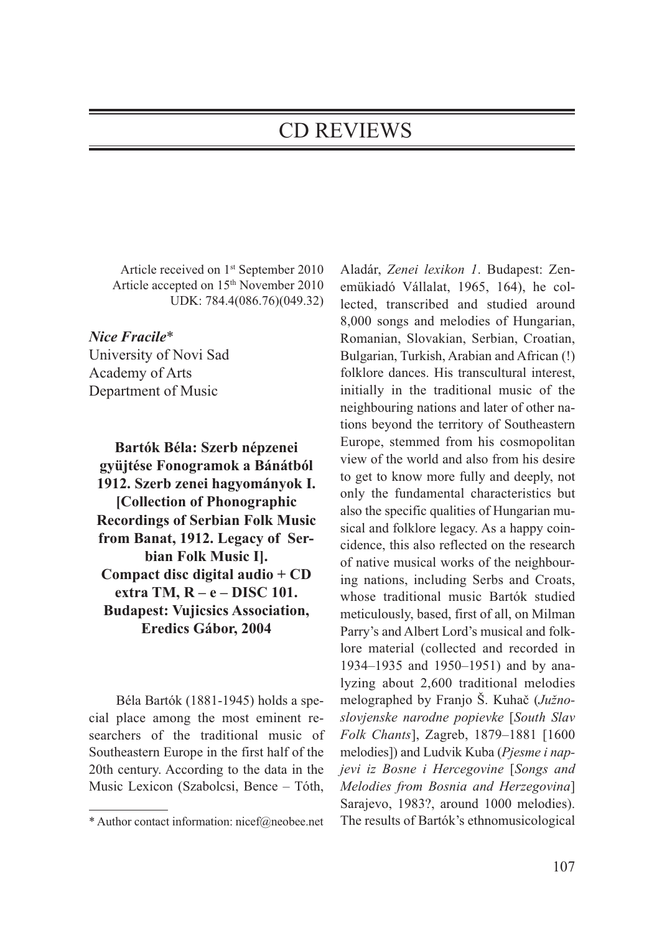## CD REVIEWS

Article received on 1st September 2010 Article accepted on 15<sup>th</sup> November 2010 UDK: 784.4(086.76)(049.32)

*Nice Fracile*\* University of Novi Sad Academy of Arts Department of Music

**Bartók Béla: Szerb népzenei gyüjtése Fonogramok a Bánátból 1912. Szerb zenei hagyományok I. [Collection of Phonographic Recordings of Serbian Folk Music from Banat, 1912. Legacy of Serbian Folk Music I]. Compact disc digital audio + CD extra TM, R – e – DISC 101. Budapest: Vujicsics Association, Eredics Gábor, 2004**

Béla Bartók (1881-1945) holds a special place among the most eminent researchers of the traditional music of Southeastern Europe in the first half of the 20th century. According to the data in the Music Lexicon (Szabolcsi, Bence – Tóth,

Aladár, *Zenei lexikon 1*. Budapest: Zenemükiadó Vállalat, 1965, 164), he collected, transcribed and studied around 8,000 songs and melodies of Hungarian, Romanian, Slovakian, Serbian, Croatian, Bulgarian, Turkish, Arabian and African (!) folklore dances. His transcultural interest, initially in the traditional music of the neighbouring nations and later of other nations beyond the territory of Southeastern Europe, stemmed from his cosmopolitan view of the world and also from his desire to get to know more fully and deeply, not only the fundamental characteristics but also the specific qualities of Hungarian musical and folklore legacy. As a happy coincidence, this also reflected on the research of native musical works of the neighbouring nations, including Serbs and Croats, whose traditional music Bartók studied meticulously, based, first of all, on Milman Parry's and Albert Lord's musical and folklore material (collected and recorded in 1934–1935 and 1950–1951) and by analyzing about 2,600 traditional melodies melographed by Franjo Š. Kuhač (*Južnoslovjenske narodne popievke* [*South Slav Folk Chants*], Zagreb, 1879–1881 [1600 melo dies]) and Ludvik Kuba (*Pjesme i napjevi iz Bosne i Hercegovine* [*Songs and Melo dies from Bosnia and Herzegovina*] Sarajevo, 1983?, around 1000 melodies). The results of Bartók's ethnomusicological

<sup>\*</sup> Author contact information: nicef@neobee.net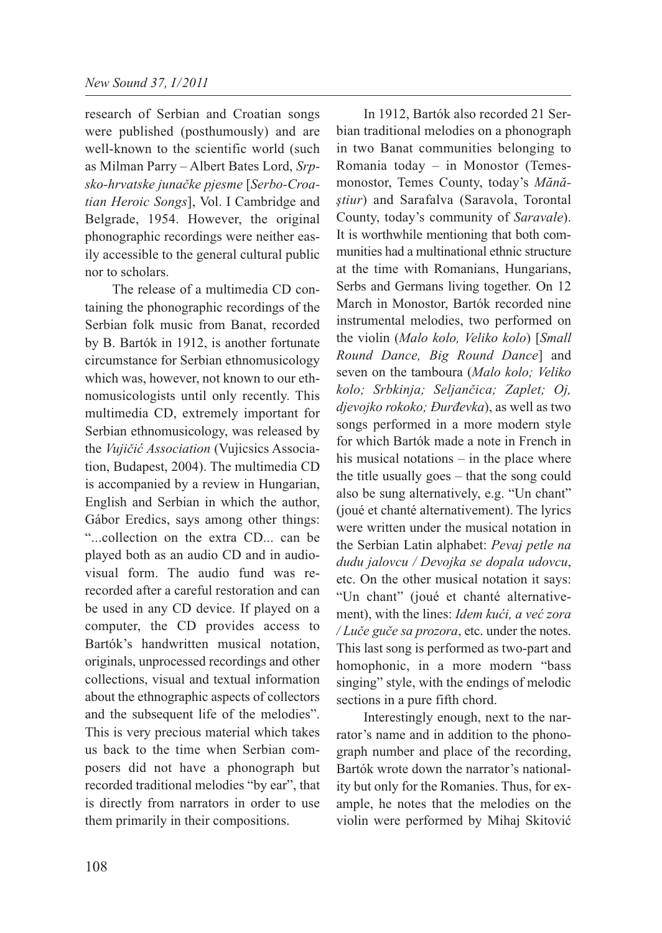research of Serbian and Croatian songs were published (posthumously) and are well-known to the scientific world (such as Milman Parry – Albert Bates Lord, *Srpsko-hrvatske junačke pjesme* [*Serbo-Croatian Heroic Songs*], Vol. I Cambridge and Belgrade, 1954. However, the original phonographic recordings were neither easily accessible to the general cultural public nor to scholars.

The release of a multimedia CD containing the phonographic recordings of the Serbian folk music from Banat, recorded by B. Bartók in 1912, is another fortunate circumstance for Serbian ethnomusicology which was, however, not known to our ethnomusicologists until only recently. This multimedia CD, extremely important for Serbian ethnomusicology, was released by the *Vujičić Association* (Vujicsics Association, Budapest, 2004). The multimedia CD is accompanied by a review in Hungarian, English and Serbian in which the author, Gábor Eredics, says among other things: "...collection on the extra CD... can be played both as an audio CD and in audiovisual form. The audio fund was rerecorded after a careful restoration and can be used in any CD device. If played on a computer, the CD provides access to Bartók's handwritten musical notation, originals, unprocessed recordings and other collections, visual and textual information about the ethnographic aspects of collectors and the subsequent life of the melodies". This is very precious material which takes us back to the time when Serbian composers did not have a phonograph but recorded traditional melodies "by ear", that is directly from narrators in order to use them primarily in their compositions.

In 1912, Bartók also recorded 21 Serbian traditional melodies on a phonograph in two Banat communities belonging to Romania today – in Monostor (Temesmonostor, Temes County, today's *Mănă ştiur*) and Sarafalva (Saravola, Torontal County, today's community of *Saravale*). It is worthwhile mentioning that both communities had a multinational ethnic structure at the time with Romanians, Hungarians, Serbs and Germans living together. On 12 March in Monostor, Bartók recorded nine instrumental melodies, two performed on the violin (*Malo kolo, Veliko kolo*) [*Small Round Dance, Big Round Dance*] and seven on the tamboura (*Malo kolo; Veliko kolo; Srbkinja; Seljančica; Zaplet; Oj, djevojko rokoko; Đurđevka*), as well as two songs performed in a more modern style for which Bartók made a note in French in his musical notations – in the place where the title usually goes – that the song could also be sung alternatively, e.g. "Un chant" (joué et chanté alternativement). The lyrics were written under the musical notation in the Serbian Latin alphabet: *Pevaj petle na dudu jalovcu / Devojka se dopala udovcu*, etc. On the other musical notation it says: "Un chant" (joué et chanté alternativement), with the lines: *Idem kući, a već zora / Luče guče sa prozora*, etc. under the notes. This last song is performed as two-part and homophonic, in a more modern "bass singing" style, with the endings of melodic sections in a pure fifth chord.

Interestingly enough, next to the narrator's name and in addition to the phonograph number and place of the recording, Bartók wrote down the narrator's nationality but only for the Romanies. Thus, for example, he notes that the melodies on the violin were performed by Mihaj Skitović